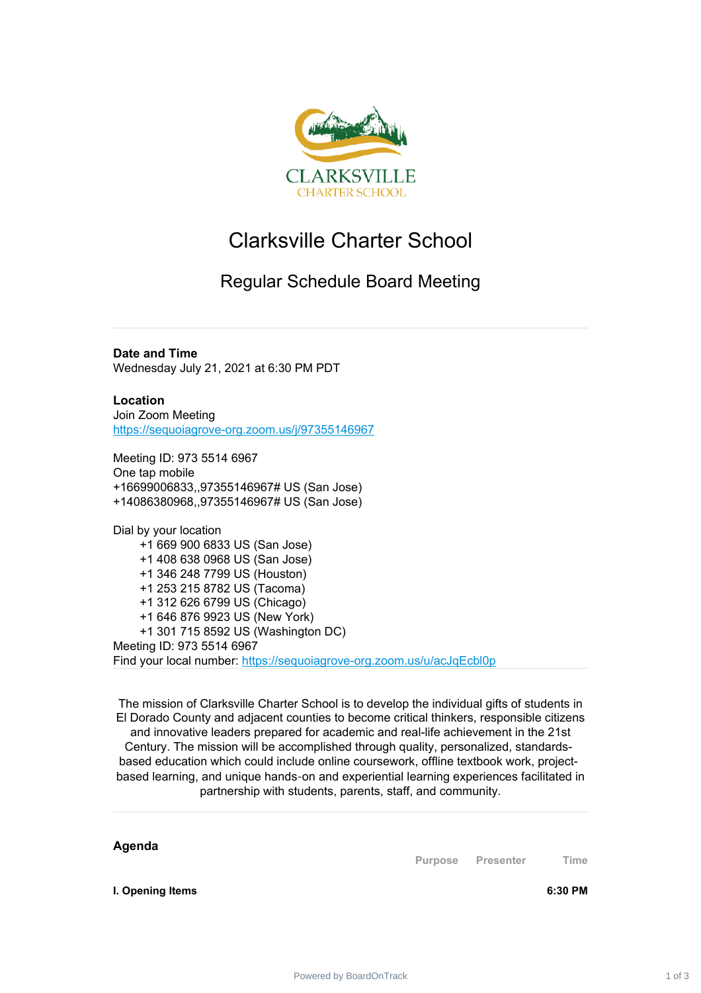

## Clarksville Charter School

## Regular Schedule Board Meeting

**Date and Time** Wednesday July 21, 2021 at 6:30 PM PDT

**Location** Join Zoom Meeting <https://sequoiagrove-org.zoom.us/j/97355146967>

Meeting ID: 973 5514 6967 One tap mobile +16699006833,,97355146967# US (San Jose) +14086380968,,97355146967# US (San Jose)

Dial by your location +1 669 900 6833 US (San Jose) +1 408 638 0968 US (San Jose) +1 346 248 7799 US (Houston) +1 253 215 8782 US (Tacoma) +1 312 626 6799 US (Chicago) +1 646 876 9923 US (New York) +1 301 715 8592 US (Washington DC) Meeting ID: 973 5514 6967 Find your local number: <https://sequoiagrove-org.zoom.us/u/acJqEcbl0p>

The mission of Clarksville Charter School is to develop the individual gifts of students in El Dorado County and adjacent counties to become critical thinkers, responsible citizens and innovative leaders prepared for academic and real-life achievement in the 21st Century. The mission will be accomplished through quality, personalized, standardsbased education which could include online coursework, offline textbook work, projectbased learning, and unique hands‐on and experiential learning experiences facilitated in partnership with students, parents, staff, and community.

**Purpose Presenter Time**

**I. Opening Items 6:30 PM**

**Agenda**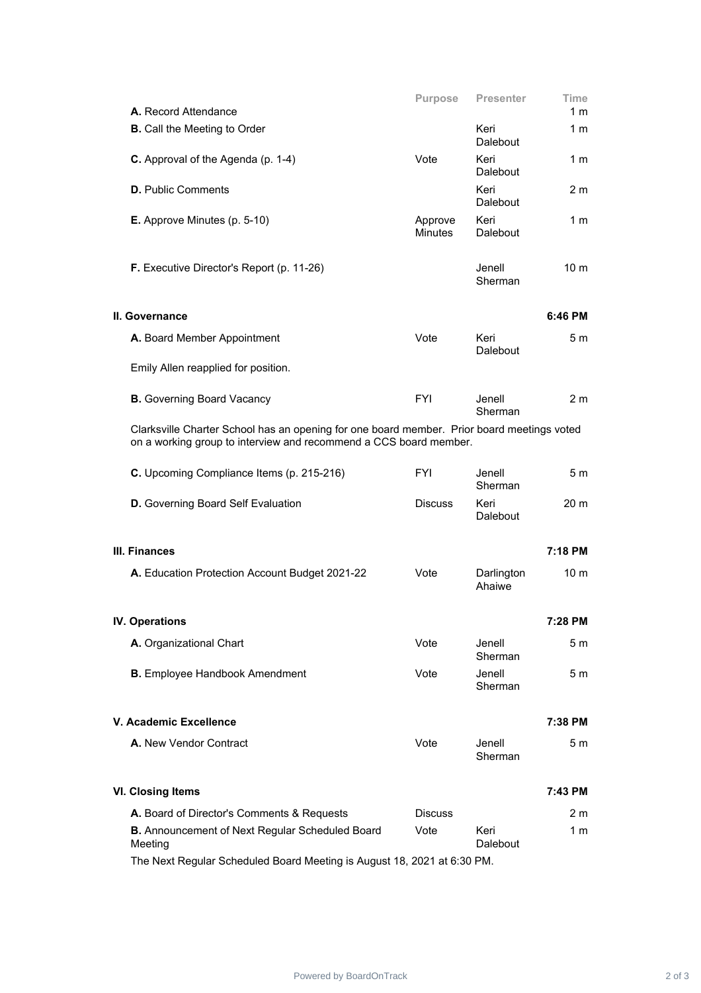|                                                                                                                                                                 | Purpose                   | <b>Presenter</b>     | Time            |
|-----------------------------------------------------------------------------------------------------------------------------------------------------------------|---------------------------|----------------------|-----------------|
| A. Record Attendance                                                                                                                                            |                           |                      | 1 m             |
| <b>B.</b> Call the Meeting to Order                                                                                                                             |                           | Keri<br>Dalebout     | 1 m             |
| C. Approval of the Agenda (p. 1-4)                                                                                                                              | Vote                      | Keri<br>Dalebout     | 1 m             |
| <b>D.</b> Public Comments                                                                                                                                       |                           | Keri<br>Dalebout     | 2 m             |
| E. Approve Minutes (p. 5-10)                                                                                                                                    | Approve<br><b>Minutes</b> | Keri<br>Dalebout     | 1 m             |
| F. Executive Director's Report (p. 11-26)                                                                                                                       |                           | Jenell<br>Sherman    | 10 <sub>m</sub> |
| II. Governance                                                                                                                                                  |                           |                      | 6:46 PM         |
| A. Board Member Appointment                                                                                                                                     | Vote                      | Keri<br>Dalebout     | 5m              |
| Emily Allen reapplied for position.                                                                                                                             |                           |                      |                 |
| <b>B.</b> Governing Board Vacancy                                                                                                                               | <b>FYI</b>                | Jenell<br>Sherman    | 2 <sub>m</sub>  |
| Clarksville Charter School has an opening for one board member. Prior board meetings voted<br>on a working group to interview and recommend a CCS board member. |                           |                      |                 |
| C. Upcoming Compliance Items (p. 215-216)                                                                                                                       | <b>FYI</b>                | Jenell<br>Sherman    | 5 <sub>m</sub>  |
| <b>D.</b> Governing Board Self Evaluation                                                                                                                       | <b>Discuss</b>            | Keri<br>Dalebout     | 20 <sub>m</sub> |
| III. Finances                                                                                                                                                   |                           |                      | 7:18 PM         |
| A. Education Protection Account Budget 2021-22                                                                                                                  | Vote                      | Darlington<br>Ahaiwe | 10 <sub>m</sub> |
| IV. Operations                                                                                                                                                  |                           |                      | 7:28 PM         |
| A. Organizational Chart                                                                                                                                         | Vote                      | Jenell<br>Sherman    | 5 <sub>m</sub>  |
| <b>B.</b> Employee Handbook Amendment                                                                                                                           | Vote                      | Jenell<br>Sherman    | 5 m             |
| V. Academic Excellence                                                                                                                                          |                           |                      | 7:38 PM         |
| A. New Vendor Contract                                                                                                                                          | Vote                      | Jenell<br>Sherman    | 5 <sub>m</sub>  |
| <b>VI. Closing Items</b>                                                                                                                                        |                           |                      | 7:43 PM         |
| A. Board of Director's Comments & Requests                                                                                                                      | <b>Discuss</b>            |                      | 2 <sub>m</sub>  |
| <b>B.</b> Announcement of Next Regular Scheduled Board<br>Meeting                                                                                               | Vote                      | Keri<br>Dalebout     | 1 m             |
| The Next Regular Scheduled Board Meeting is August 18, 2021 at 6:30 PM.                                                                                         |                           |                      |                 |